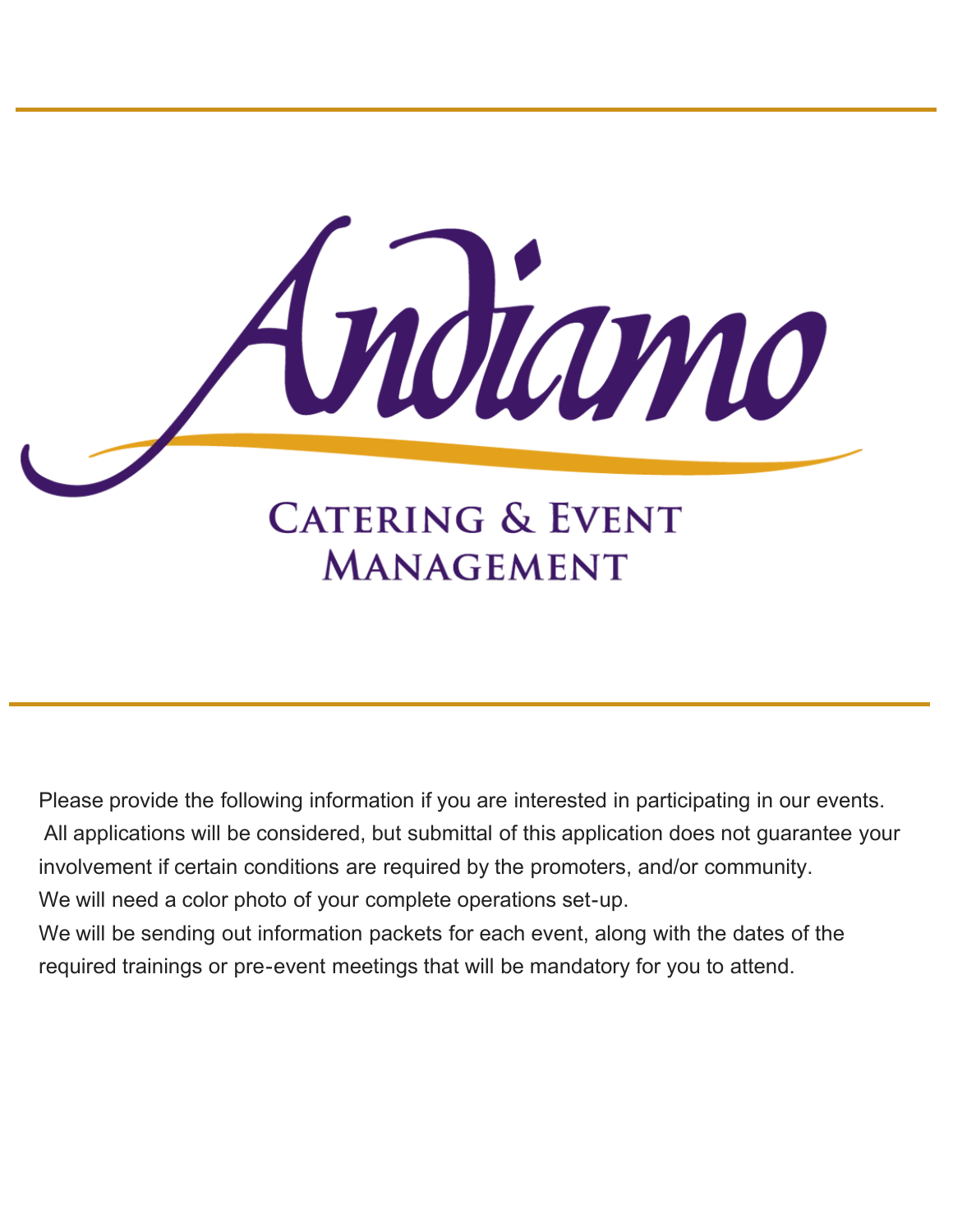

Please provide the following information if you are interested in participating in our events. All applications will be considered, but submittal of this application does not guarantee your involvement if certain conditions are required by the promoters, and/or community. We will need a color photo of your complete operations set-up. We will be sending out information packets for each event, along with the dates of the required trainings or pre-event meetings that will be mandatory for you to attend.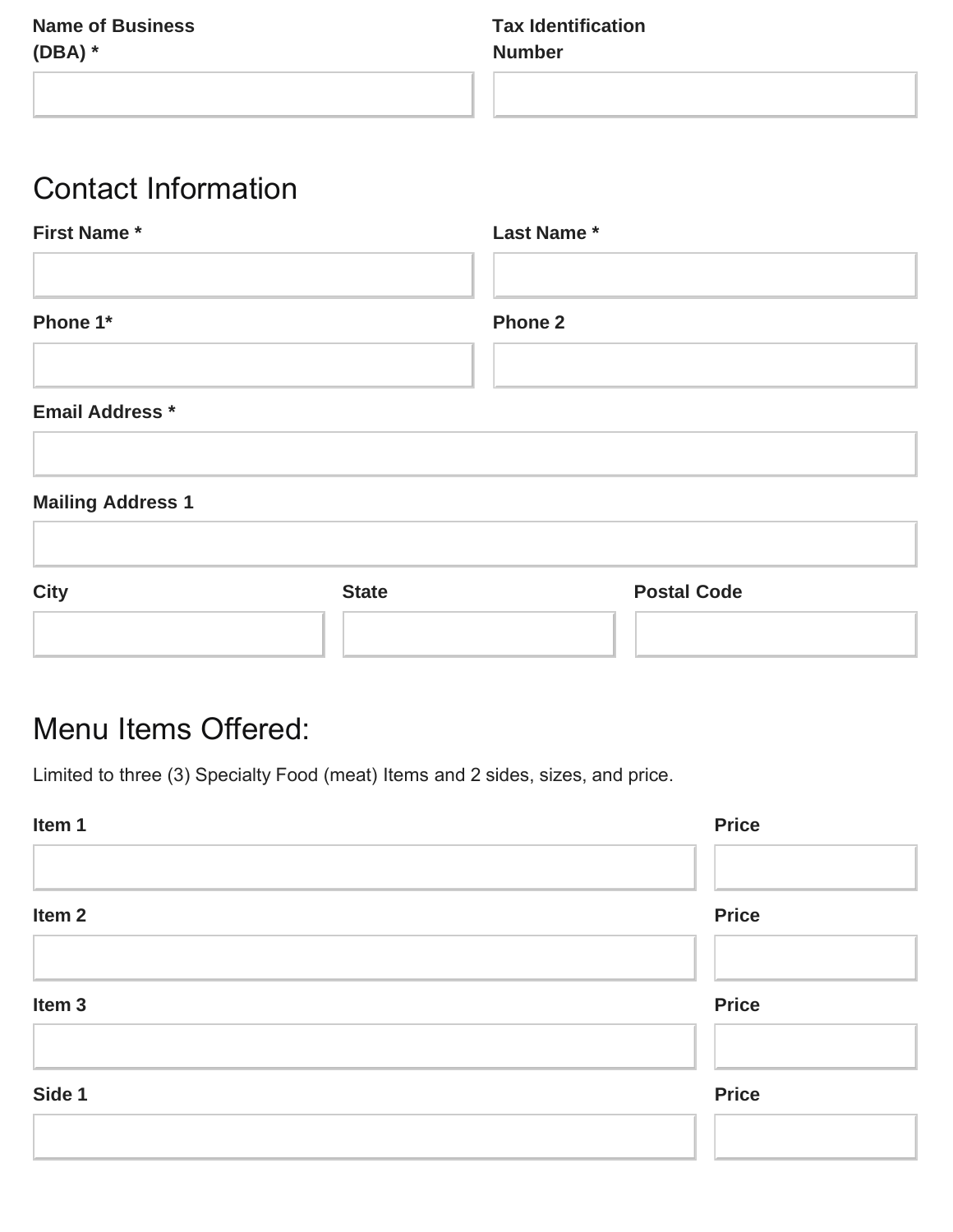## Contact Information

| <b>First Name*</b>       |              | Last Name*     |                    |  |
|--------------------------|--------------|----------------|--------------------|--|
|                          |              |                |                    |  |
| Phone 1*                 |              | <b>Phone 2</b> |                    |  |
|                          |              |                |                    |  |
| <b>Email Address *</b>   |              |                |                    |  |
| <b>Mailing Address 1</b> |              |                |                    |  |
| <b>City</b>              | <b>State</b> |                | <b>Postal Code</b> |  |

## Menu Items Offered:

Limited to three (3) Specialty Food (meat) Items and 2 sides, sizes, and price.

| Item 1            | <b>Price</b> |
|-------------------|--------------|
| Item <sub>2</sub> | <b>Price</b> |
| Item 3            | <b>Price</b> |
| Side 1            | <b>Price</b> |
|                   |              |